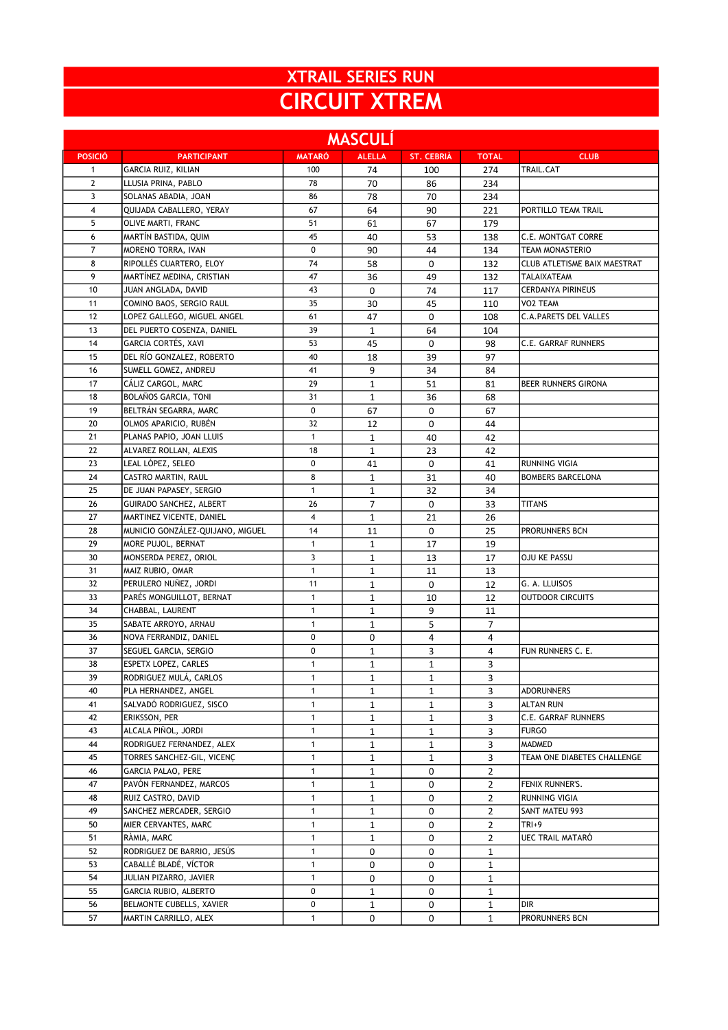## XTRAIL SERIES RUN CIRCUIT XTREM

| <b>MASCULÍ</b> |                                  |               |               |                   |                |                              |  |  |  |
|----------------|----------------------------------|---------------|---------------|-------------------|----------------|------------------------------|--|--|--|
| <b>POSICIÓ</b> | <b>PARTICIPANT</b>               | <b>MATARÓ</b> | <b>ALELLA</b> | <b>ST. CEBRIA</b> | <b>TOTAL</b>   | <b>CLUB</b>                  |  |  |  |
| $\mathbf{1}$   | <b>GARCIA RUIZ, KILIAN</b>       | 100           | 74            | 100               | 274            | <b>TRAIL.CAT</b>             |  |  |  |
| $\mathbf{2}$   | LLUSIA PRINA, PABLO              | 78            | 70            | 86                | 234            |                              |  |  |  |
| 3              | SOLANAS ABADIA, JOAN             | 86            | 78            | 70                | 234            |                              |  |  |  |
| $\overline{4}$ | QUIJADA CABALLERO, YERAY         | 67            | 64            | 90                | 221            | PORTILLO TEAM TRAIL          |  |  |  |
| 5              | OLIVE MARTI, FRANC               | 51            | 61            | 67                | 179            |                              |  |  |  |
| 6              | MARTÍN BASTIDA, QUIM             | 45            | 40            | 53                | 138            | <b>C.E. MONTGAT CORRE</b>    |  |  |  |
| $\overline{7}$ | MORENO TORRA, IVAN               | 0             | 90            | 44                | 134            | <b>TEAM MONASTERIO</b>       |  |  |  |
| 8              | RIPOLLÉS CUARTERO, ELOY          | 74            | 58            | 0                 | 132            | CLUB ATLETISME BAIX MAESTRAT |  |  |  |
| 9              | MARTÍNEZ MEDINA, CRISTIAN        | 47            | 36            | 49                | 132            | TALAIXATEAM                  |  |  |  |
| 10             | JUAN ANGLADA, DAVID              | 43            | 0             | 74                | 117            | <b>CERDANYA PIRINEUS</b>     |  |  |  |
| 11             | COMINO BAOS, SERGIO RAUL         | 35            | 30            | 45                | 110            | VO2 TEAM                     |  |  |  |
| 12             | LOPEZ GALLEGO, MIGUEL ANGEL      | 61            | 47            | 0                 | 108            | <b>C.A.PARETS DEL VALLES</b> |  |  |  |
| 13             | DEL PUERTO COSENZA, DANIEL       | 39            | $\mathbf{1}$  | 64                | 104            |                              |  |  |  |
| 14             | GARCIA CORTÉS, XAVI              | 53            | 45            | 0                 | 98             | <b>C.E. GARRAF RUNNERS</b>   |  |  |  |
| 15             | DEL RÍO GONZALEZ, ROBERTO        | 40            | 18            | 39                | 97             |                              |  |  |  |
| 16             | SUMELL GOMEZ, ANDREU             | 41            | 9             | 34                | 84             |                              |  |  |  |
| 17             | CÁLIZ CARGOL, MARC               | 29            | $\mathbf{1}$  | 51                | 81             | BEER RUNNERS GIRONA          |  |  |  |
| 18             | BOLAÑOS GARCIA, TONI             | 31            | $\mathbf{1}$  | 36                | 68             |                              |  |  |  |
| 19             | BELTRÁN SEGARRA, MARC            | 0             | 67            | 0                 | 67             |                              |  |  |  |
| 20             | OLMOS APARICIO, RUBÉN            | 32            | 12            | 0                 | 44             |                              |  |  |  |
| 21             | PLANAS PAPIO, JOAN LLUIS         | $\mathbf{1}$  | $\mathbf{1}$  | 40                | 42             |                              |  |  |  |
| 22             | ALVAREZ ROLLAN, ALEXIS           | 18            | $\mathbf{1}$  | 23                | 42             |                              |  |  |  |
| 23             | LEAL LÓPEZ, SELEO                | 0             | 41            | 0                 | 41             | <b>RUNNING VIGIA</b>         |  |  |  |
| 24             | CASTRO MARTIN, RAUL              | 8             | $\mathbf{1}$  | 31                | 40             | <b>BOMBERS BARCELONA</b>     |  |  |  |
| 25             | DE JUAN PAPASEY, SERGIO          | $\mathbf{1}$  | $\mathbf{1}$  | 32                | 34             |                              |  |  |  |
| 26             | GUIRADO SANCHEZ, ALBERT          | 26            | 7             | 0                 | 33             | <b>TITANS</b>                |  |  |  |
| 27             | MARTINEZ VICENTE, DANIEL         | 4             | $\mathbf{1}$  | 21                | 26             |                              |  |  |  |
| 28             | MUNICIO GONZÁLEZ-QUIJANO, MIGUEL | 14            | 11            | 0                 | 25             | PRORUNNERS BCN               |  |  |  |
| 29             | MORE PUJOL, BERNAT               | $\mathbf{1}$  | $\mathbf{1}$  | 17                | 19             |                              |  |  |  |
| 30             | MONSERDA PEREZ, ORIOL            | 3             | $\mathbf{1}$  | 13                | 17             | OJU KE PASSU                 |  |  |  |
| 31             | MAIZ RUBIO, OMAR                 | $\mathbf{1}$  | $\mathbf{1}$  | 11                | 13             |                              |  |  |  |
| 32             | PERULERO NUÑEZ, JORDI            | 11            | 1             | 0                 | 12             | G. A. LLUISOS                |  |  |  |
| 33             | PARÉS MONGUILLOT, BERNAT         | $\mathbf{1}$  | $\mathbf{1}$  | 10                | 12             | <b>OUTDOOR CIRCUITS</b>      |  |  |  |
| 34             | CHABBAL, LAURENT                 | $\mathbf{1}$  | $\mathbf{1}$  | 9                 | 11             |                              |  |  |  |
| 35             | SABATE ARROYO, ARNAU             | $\mathbf{1}$  | $\mathbf{1}$  | 5                 | $\overline{7}$ |                              |  |  |  |
| 36             | NOVA FERRANDIZ, DANIEL           | 0             | 0             | 4                 | 4              |                              |  |  |  |
| 37             | SEGUEL GARCIA, SERGIO            | 0             | $\mathbf{1}$  | 3                 | 4              | FUN RUNNERS C. E.            |  |  |  |
| 38             | ESPETX LOPEZ, CARLES             | $\mathbf{1}$  | $\mathbf{1}$  | $\mathbf{1}$      | 3              |                              |  |  |  |
| 39             | RODRIGUEZ MULÁ, CARLOS           | 1             | 1             | 1                 | 3              |                              |  |  |  |
| 40             | PLA HERNANDEZ, ANGEL             | $\mathbf{1}$  | $\mathbf{1}$  | $\mathbf{1}$      | 3              | ADORUNNERS                   |  |  |  |
| 41             | SALVADÓ RODRIGUEZ, SISCO         | $\mathbf{1}$  | $\mathbf{1}$  | $\mathbf{1}$      | 3              | <b>ALTAN RUN</b>             |  |  |  |
| 42             | ERIKSSON, PER                    | $\mathbf{1}$  | $\mathbf{1}$  | 1                 | 3              | C.E. GARRAF RUNNERS          |  |  |  |
| 43             | ALCALA PIÑOL, JORDI              | $\mathbf{1}$  | $\mathbf{1}$  | $\mathbf{1}$      | 3              | <b>FURGO</b>                 |  |  |  |
| 44             | RODRIGUEZ FERNANDEZ, ALEX        | $\mathbf{1}$  | $\mathbf{1}$  | 1                 | 3              | MADMED                       |  |  |  |
| 45             | TORRES SANCHEZ-GIL, VICENC       | $\mathbf{1}$  | $\mathbf{1}$  | $\mathbf{1}$      | 3              | TEAM ONE DIABETES CHALLENGE  |  |  |  |
| 46             | <b>GARCIA PALAO, PERE</b>        | $\mathbf{1}$  | $\mathbf{1}$  | 0                 | 2              |                              |  |  |  |
| 47             | PAVÓN FERNANDEZ, MARCOS          | $\mathbf{1}$  | $\mathbf{1}$  | 0                 | 2              | FENIX RUNNER'S.              |  |  |  |
| 48             | RUIZ CASTRO, DAVID               | $\mathbf{1}$  | $\mathbf{1}$  | 0                 | $\overline{2}$ | RUNNING VIGIA                |  |  |  |
| 49             | SANCHEZ MERCADER, SERGIO         | 1             | $\mathbf{1}$  | 0                 | 2              | SANT MATEU 993               |  |  |  |
| 50             | MIER CERVANTES, MARC             | $\mathbf{1}$  | $\mathbf{1}$  | 0                 | 2              | TRI+9                        |  |  |  |
| 51             | RÀMIA, MARC                      | $\mathbf{1}$  | $\mathbf{1}$  | 0                 | $\overline{2}$ | UEC TRAIL MATARÓ             |  |  |  |
| 52             | RODRIGUEZ DE BARRIO, JESÚS       | $\mathbf{1}$  | 0             | 0                 | $\mathbf 1$    |                              |  |  |  |
| 53             | CABALLÉ BLADÉ, VÍCTOR            | $\mathbf{1}$  | 0             | 0                 | 1              |                              |  |  |  |
| 54             | JULIAN PIZARRO, JAVIER           | $\mathbf{1}$  | 0             | 0                 | 1              |                              |  |  |  |
| 55             | GARCIA RUBIO, ALBERTO            | 0             | $\mathbf{1}$  | 0                 | 1              |                              |  |  |  |
| 56             | BELMONTE CUBELLS, XAVIER         | 0             | $\mathbf{1}$  | 0                 | 1              | DIR                          |  |  |  |
| 57             | MARTIN CARRILLO, ALEX            | $\mathbf{1}$  | 0             | 0                 | $\mathbf 1$    | PRORUNNERS BCN               |  |  |  |